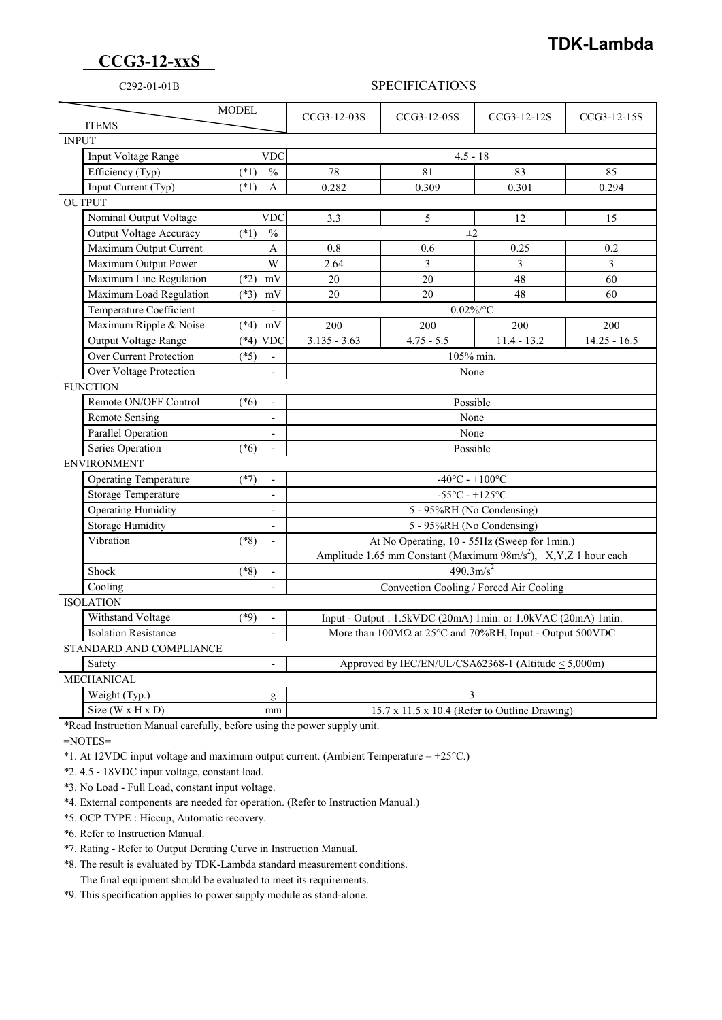## **TDK-Lambda**

## **CCG3-12-xxS**

## C292-01-01B SPECIFICATIONS

| <b>MODEL</b><br><b>ITEMS</b> |                                                                                       |        |                          | CCG3-12-03S                                                                      | CCG3-12-05S    | CCG3-12-12S   | CCG3-12-15S    |  |
|------------------------------|---------------------------------------------------------------------------------------|--------|--------------------------|----------------------------------------------------------------------------------|----------------|---------------|----------------|--|
| <b>INPUT</b>                 |                                                                                       |        |                          |                                                                                  |                |               |                |  |
|                              | Input Voltage Range<br><b>VDC</b>                                                     |        |                          | $4.5 - 18$                                                                       |                |               |                |  |
|                              | Efficiency (Typ)                                                                      | $(*1)$ | $\frac{0}{0}$            | 78                                                                               | 81             | 83            | 85             |  |
|                              | Input Current (Typ)                                                                   | $(*1)$ | A                        | 0.282                                                                            | 0.309          | 0.301         | 0.294          |  |
| <b>OUTPUT</b>                |                                                                                       |        |                          |                                                                                  |                |               |                |  |
|                              | Nominal Output Voltage                                                                |        | <b>VDC</b>               | 3.3                                                                              | $\mathfrak{S}$ | 12            | 15             |  |
|                              | <b>Output Voltage Accuracy</b>                                                        | $(*1)$ | $\frac{0}{0}$            | $\pm 2$                                                                          |                |               |                |  |
|                              | Maximum Output Current                                                                |        | A                        | 0.8                                                                              | 0.6            | 0.25          | 0.2            |  |
|                              | Maximum Output Power                                                                  |        | W                        | 2.64                                                                             | 3              | 3             | $\overline{3}$ |  |
|                              | Maximum Line Regulation                                                               | $(*2)$ | mV                       | 20                                                                               | 20             | 48            | 60             |  |
|                              | Maximum Load Regulation                                                               | $(*3)$ | mV                       | 20                                                                               | 20             | 48            | 60             |  |
|                              | Temperature Coefficient                                                               |        |                          | $0.02\%$ /°C                                                                     |                |               |                |  |
|                              | Maximum Ripple & Noise                                                                | $(*4)$ | $\rm mV$                 | 200                                                                              | 200            | 200           | 200            |  |
|                              | Output Voltage Range                                                                  | $(*4)$ | <b>VDC</b>               | $3.135 - 3.63$                                                                   | $4.75 - 5.5$   | $11.4 - 13.2$ | $14.25 - 16.5$ |  |
|                              | <b>Over Current Protection</b>                                                        | $(*5)$ |                          | 105% min.                                                                        |                |               |                |  |
|                              | Over Voltage Protection                                                               |        |                          | None                                                                             |                |               |                |  |
| <b>FUNCTION</b>              |                                                                                       |        |                          |                                                                                  |                |               |                |  |
|                              | Remote ON/OFF Control                                                                 | $(*6)$ | $\mathbf{r}$             | Possible                                                                         |                |               |                |  |
|                              | <b>Remote Sensing</b>                                                                 |        | $\mathbf{r}$             | None                                                                             |                |               |                |  |
|                              | <b>Parallel Operation</b>                                                             |        | $\overline{\phantom{a}}$ |                                                                                  |                | None          |                |  |
|                              | Series Operation                                                                      | $(*6)$ |                          | Possible                                                                         |                |               |                |  |
| <b>ENVIRONMENT</b>           |                                                                                       |        |                          |                                                                                  |                |               |                |  |
|                              | <b>Operating Temperature</b><br>$(*7)$                                                |        |                          | $-40^{\circ}$ C - $+100^{\circ}$ C                                               |                |               |                |  |
|                              | Storage Temperature                                                                   |        | $\overline{a}$           | $-55^{\circ}$ C - $+125^{\circ}$ C                                               |                |               |                |  |
|                              | <b>Operating Humidity</b>                                                             |        |                          | 5 - 95%RH (No Condensing)                                                        |                |               |                |  |
|                              | <b>Storage Humidity</b>                                                               |        | $\sim$                   | 5 - 95%RH (No Condensing)                                                        |                |               |                |  |
|                              | Vibration                                                                             | $(*8)$ | $\overline{a}$           | At No Operating, 10 - 55Hz (Sweep for 1min.)                                     |                |               |                |  |
|                              |                                                                                       |        |                          | Amplitude 1.65 mm Constant (Maximum 98m/s <sup>2</sup> ), X,Y,Z 1 hour each      |                |               |                |  |
|                              | Shock                                                                                 | $(*8)$ |                          | $\frac{490.3 \text{m/s}^2}{a}$                                                   |                |               |                |  |
|                              | Cooling                                                                               |        |                          | Convection Cooling / Forced Air Cooling                                          |                |               |                |  |
| <b>ISOLATION</b>             |                                                                                       |        |                          |                                                                                  |                |               |                |  |
|                              | Withstand Voltage                                                                     | $(*9)$ |                          | Input - Output: 1.5kVDC (20mA) 1min. or 1.0kVAC (20mA) 1min.                     |                |               |                |  |
| <b>Isolation Resistance</b>  |                                                                                       |        |                          | More than $100M\Omega$ at $25^{\circ}$ C and $70\%$ RH, Input - Output $500$ VDC |                |               |                |  |
| STANDARD AND COMPLIANCE      |                                                                                       |        |                          |                                                                                  |                |               |                |  |
| Safety                       |                                                                                       |        |                          | Approved by IEC/EN/UL/CSA62368-1 (Altitude < 5,000m)                             |                |               |                |  |
| <b>MECHANICAL</b>            |                                                                                       |        |                          |                                                                                  |                |               |                |  |
|                              | Weight (Typ.)                                                                         |        | g                        | 3                                                                                |                |               |                |  |
|                              | Size ( $W \times H \times D$ )<br>15.7 x 11.5 x 10.4 (Refer to Outline Drawing)<br>mm |        |                          |                                                                                  |                |               |                |  |

\*Read Instruction Manual carefully, before using the power supply unit.

=NOTES=

\*1. At 12VDC input voltage and maximum output current. (Ambient Temperature =  $+25^{\circ}$ C.)

\*2. 4.5 - 18VDC input voltage, constant load.

\*3. No Load - Full Load, constant input voltage.

\*4. External components are needed for operation. (Refer to Instruction Manual.)

\*5. OCP TYPE : Hiccup, Automatic recovery.

\*6. Refer to Instruction Manual.

\*7. Rating - Refer to Output Derating Curve in Instruction Manual.

 \*8. The result is evaluated by TDK-Lambda standard measurement conditions. The final equipment should be evaluated to meet its requirements.

\*9. This specification applies to power supply module as stand-alone.